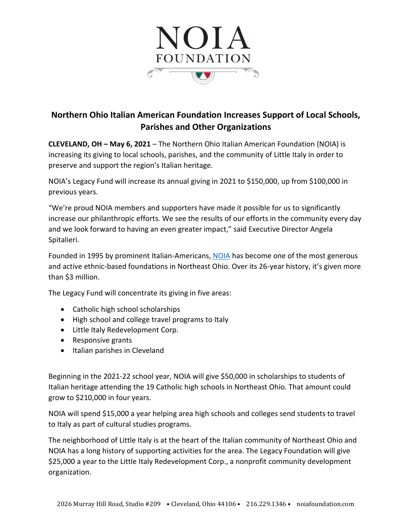

## **Northern Ohio Italian American Foundation Increases Support of Local Schools, Parishes and Other Organizations**

**CLEVELAND, OH – May 6, 2021** – The Northern Ohio Italian American Foundation (NOIA) is increasing its giving to local schools, parishes, and the community of Little Italy in order to preserve and support the region's Italian heritage.

NOIA's Legacy Fund will increase its annual giving in 2021 to \$150,000, up from \$100,000 in previous years.

"We're proud NOIA members and supporters have made it possible for us to significantly increase our philanthropic efforts. We see the results of our efforts in the community every day and we look forward to having an even greater impact," said Executive Director Angela Spitalieri.

Founded in 1995 by prominent Italian-Americans, [NOIA](http://www.noiafoundation.com/) has become one of the most generous and active ethnic-based foundations in Northeast Ohio. Over its 26-year history, it's given more than \$3 million.

The Legacy Fund will concentrate its giving in five areas:

- Catholic high school scholarships
- High school and college travel programs to Italy
- Little Italy Redevelopment Corp.
- Responsive grants
- Italian parishes in Cleveland

Beginning in the 2021-22 school year, NOIA will give \$50,000 in scholarships to students of Italian heritage attending the 19 Catholic high schools in Northeast Ohio. That amount could grow to \$210,000 in four years.

NOIA will spend \$15,000 a year helping area high schools and colleges send students to travel to Italy as part of cultural studies programs.

The neighborhood of Little Italy is at the heart of the Italian community of Northeast Ohio and NOIA has a long history of supporting activities for the area. The Legacy Foundation will give \$25,000 a year to the Little Italy Redevelopment Corp., a nonprofit community development organization.